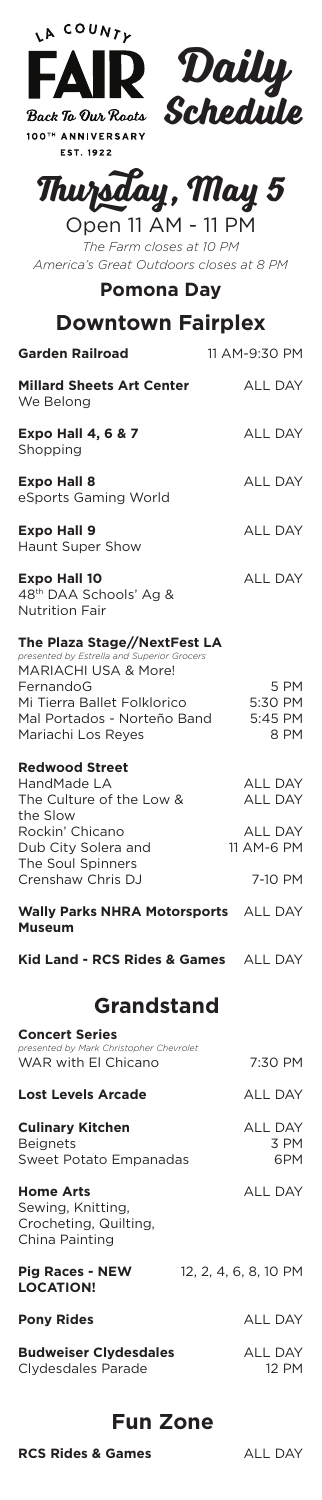

**Back To Our Roots** 100TH ANNIVERSARY **EST. 1922** 



# **Thursday, May 5**

Open 11 AM - 11 PM *The Farm closes at 10 PM America's Great Outdoors closes at 8 PM*

**Pomona Day**

## **Downtown Fairplex**

| <b>Garden Railroad</b>                        | 11 AM-9:30 PM  |
|-----------------------------------------------|----------------|
| <b>Millard Sheets Art Center</b><br>We Belong | <b>ALL DAY</b> |
| <b>Expo Hall 4, 6 &amp; 7</b><br>Shopping     | <b>ALL DAY</b> |
| <b>Expo Hall 8</b><br>eSports Gaming World    | <b>ALL DAY</b> |
| <b>Expo Hall 9</b><br><b>Haunt Super Show</b> | <b>ALL DAY</b> |
| <b>Expo Hall 10</b>                           | ALL DAY        |

48th DAA Schools' Ag & Nutrition Fair

#### **The Plaza Stage//NextFest LA** *presented by Estrella and Superior Grocers*

| presented by Latrend and Saperior Grocers |         |
|-------------------------------------------|---------|
| MARIACHI USA & More!                      |         |
| FernandoG                                 | 5 PM    |
| Mi Tierra Ballet Folklorico               | 5:30 PM |
| Mal Portados - Norteño Band               | 5:45 PM |
| Mariachi Los Reves                        | 8 PM    |
|                                           |         |

### **Redwood Street**

| HandMade LA              | <b>ALL DAY</b> |
|--------------------------|----------------|
| The Culture of the Low & | <b>ALL DAY</b> |
| the Slow                 |                |
| Rockin' Chicano          | <b>ALL DAY</b> |
| Dub City Solera and      | 11 AM-6 PM     |
| The Soul Spinners        |                |
| Crenshaw Chris DJ        | 7-10 PM        |
|                          |                |
|                          |                |

#### ALL DAY **Wally Parks NHRA Motorsports Museum**

ALL DAY **Kid Land - RCS Rides & Games**

## **Grandstand**

| <b>Concert Series</b><br>presented by Mark Christopher Chevrolet                 |                               |
|----------------------------------------------------------------------------------|-------------------------------|
| WAR with El Chicano                                                              | 7:30 PM                       |
| <b>Lost Levels Arcade</b>                                                        | <b>ALL DAY</b>                |
| <b>Culinary Kitchen</b><br><b>Beignets</b><br>Sweet Potato Empanadas             | <b>ALL DAY</b><br>3 PM<br>6PM |
| <b>Home Arts</b><br>Sewing, Knitting,<br>Crocheting, Quilting,<br>China Painting | <b>ALL DAY</b>                |
| <b>Pig Races - NEW</b><br><b>LOCATION!</b>                                       | 12, 2, 4, 6, 8, 10 PM         |
| <b>Pony Rides</b>                                                                | <b>ALL DAY</b>                |
| <b>Budweiser Clydesdales</b>                                                     | <b>ALL DAY</b>                |

**Budweiser Clydesdales** Clydesdales Parade

## **Fun Zone**

**RCS Rides & Games** ALL DAY

12 PM